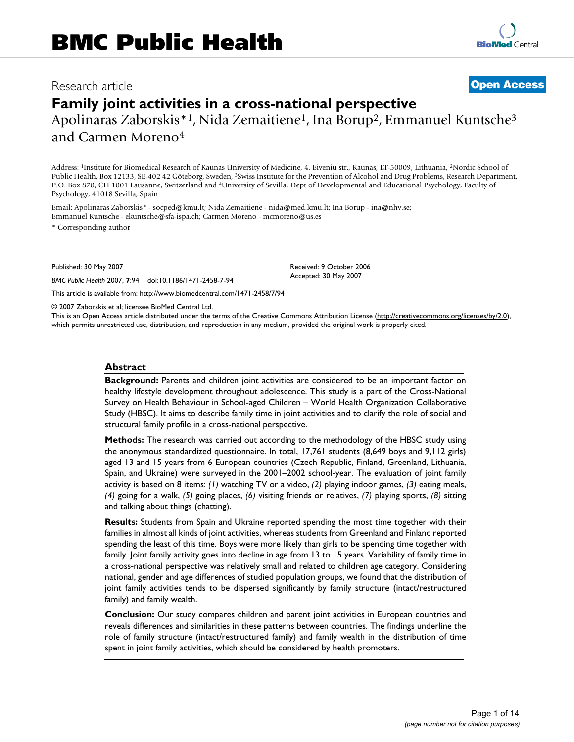# Research article **[Open Access](http://www.biomedcentral.com/info/about/charter/)**

# **Family joint activities in a cross-national perspective** Apolinaras Zaborskis\*<sup>1</sup>, Nida Zemaitiene<sup>1</sup>, Ina Borup<sup>2</sup>, Emmanuel Kuntsche<sup>3</sup> and Carmen Moreno4

Address: 1Institute for Biomedical Research of Kaunas University of Medicine, 4, Eiveniu str., Kaunas, LT-50009, Lithuania, 2Nordic School of Public Health, Box 12133, SE-402 42 Göteborg, Sweden, 3Swiss Institute for the Prevention of Alcohol and Drug Problems, Research Department, P.O. Box 870, CH 1001 Lausanne, Switzerland and 4University of Sevilla, Dept of Developmental and Educational Psychology, Faculty of Psychology, 41018 Sevilla, Spain

Email: Apolinaras Zaborskis\* - socped@kmu.lt; Nida Zemaitiene - nida@med.kmu.lt; Ina Borup - ina@nhv.se; Emmanuel Kuntsche - ekuntsche@sfa-ispa.ch; Carmen Moreno - mcmoreno@us.es

\* Corresponding author

Published: 30 May 2007

*BMC Public Health* 2007, **7**:94 doi:10.1186/1471-2458-7-94

[This article is available from: http://www.biomedcentral.com/1471-2458/7/94](http://www.biomedcentral.com/1471-2458/7/94)

© 2007 Zaborskis et al; licensee BioMed Central Ltd.

This is an Open Access article distributed under the terms of the Creative Commons Attribution License [\(http://creativecommons.org/licenses/by/2.0\)](http://creativecommons.org/licenses/by/2.0), which permits unrestricted use, distribution, and reproduction in any medium, provided the original work is properly cited.

Received: 9 October 2006 Accepted: 30 May 2007

#### **Abstract**

**Background:** Parents and children joint activities are considered to be an important factor on healthy lifestyle development throughout adolescence. This study is a part of the Cross-National Survey on Health Behaviour in School-aged Children – World Health Organization Collaborative Study (HBSC). It aims to describe family time in joint activities and to clarify the role of social and structural family profile in a cross-national perspective.

**Methods:** The research was carried out according to the methodology of the HBSC study using the anonymous standardized questionnaire. In total, 17,761 students (8,649 boys and 9,112 girls) aged 13 and 15 years from 6 European countries (Czech Republic, Finland, Greenland, Lithuania, Spain, and Ukraine) were surveyed in the 2001–2002 school-year. The evaluation of joint family activity is based on 8 items: *(1)* watching TV or a video, *(2)* playing indoor games, *(3)* eating meals, *(4)* going for a walk, *(5)* going places, *(6)* visiting friends or relatives, *(7)* playing sports, *(8)* sitting and talking about things (chatting).

**Results:** Students from Spain and Ukraine reported spending the most time together with their families in almost all kinds of joint activities, whereas students from Greenland and Finland reported spending the least of this time. Boys were more likely than girls to be spending time together with family. Joint family activity goes into decline in age from 13 to 15 years. Variability of family time in a cross-national perspective was relatively small and related to children age category. Considering national, gender and age differences of studied population groups, we found that the distribution of joint family activities tends to be dispersed significantly by family structure (intact/restructured family) and family wealth.

**Conclusion:** Our study compares children and parent joint activities in European countries and reveals differences and similarities in these patterns between countries. The findings underline the role of family structure (intact/restructured family) and family wealth in the distribution of time spent in joint family activities, which should be considered by health promoters.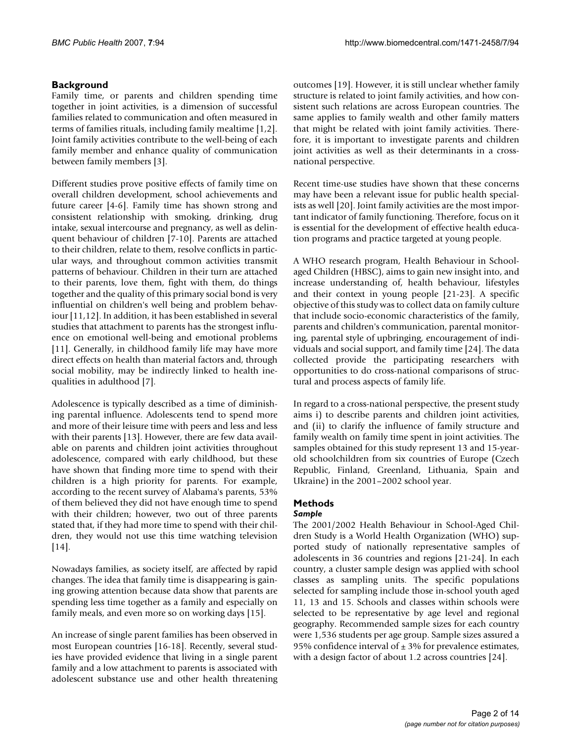# **Background**

Family time, or parents and children spending time together in joint activities, is a dimension of successful families related to communication and often measured in terms of families rituals, including family mealtime [1,2]. Joint family activities contribute to the well-being of each family member and enhance quality of communication between family members [3].

Different studies prove positive effects of family time on overall children development, school achievements and future career [4-6]. Family time has shown strong and consistent relationship with smoking, drinking, drug intake, sexual intercourse and pregnancy, as well as delinquent behaviour of children [7-10]. Parents are attached to their children, relate to them, resolve conflicts in particular ways, and throughout common activities transmit patterns of behaviour. Children in their turn are attached to their parents, love them, fight with them, do things together and the quality of this primary social bond is very influential on children's well being and problem behaviour [11,12]. In addition, it has been established in several studies that attachment to parents has the strongest influence on emotional well-being and emotional problems [11]. Generally, in childhood family life may have more direct effects on health than material factors and, through social mobility, may be indirectly linked to health inequalities in adulthood [7].

Adolescence is typically described as a time of diminishing parental influence. Adolescents tend to spend more and more of their leisure time with peers and less and less with their parents [13]. However, there are few data available on parents and children joint activities throughout adolescence, compared with early childhood, but these have shown that finding more time to spend with their children is a high priority for parents. For example, according to the recent survey of Alabama's parents, 53% of them believed they did not have enough time to spend with their children; however, two out of three parents stated that, if they had more time to spend with their children, they would not use this time watching television [14].

Nowadays families, as society itself, are affected by rapid changes. The idea that family time is disappearing is gaining growing attention because data show that parents are spending less time together as a family and especially on family meals, and even more so on working days [15].

An increase of single parent families has been observed in most European countries [16-18]. Recently, several studies have provided evidence that living in a single parent family and a low attachment to parents is associated with adolescent substance use and other health threatening outcomes [19]. However, it is still unclear whether family structure is related to joint family activities, and how consistent such relations are across European countries. The same applies to family wealth and other family matters that might be related with joint family activities. Therefore, it is important to investigate parents and children joint activities as well as their determinants in a crossnational perspective.

Recent time-use studies have shown that these concerns may have been a relevant issue for public health specialists as well [20]. Joint family activities are the most important indicator of family functioning. Therefore, focus on it is essential for the development of effective health education programs and practice targeted at young people.

A WHO research program, Health Behaviour in Schoolaged Children (HBSC), aims to gain new insight into, and increase understanding of, health behaviour, lifestyles and their context in young people [21-23]. A specific objective of this study was to collect data on family culture that include socio-economic characteristics of the family, parents and children's communication, parental monitoring, parental style of upbringing, encouragement of individuals and social support, and family time [24]. The data collected provide the participating researchers with opportunities to do cross-national comparisons of structural and process aspects of family life.

In regard to a cross-national perspective, the present study aims i) to describe parents and children joint activities, and (ii) to clarify the influence of family structure and family wealth on family time spent in joint activities. The samples obtained for this study represent 13 and 15-yearold schoolchildren from six countries of Europe (Czech Republic, Finland, Greenland, Lithuania, Spain and Ukraine) in the 2001–2002 school year.

# **Methods**

### *Sample*

The 2001/2002 Health Behaviour in School-Aged Children Study is a World Health Organization (WHO) supported study of nationally representative samples of adolescents in 36 countries and regions [21-24]. In each country, a cluster sample design was applied with school classes as sampling units. The specific populations selected for sampling include those in-school youth aged 11, 13 and 15. Schools and classes within schools were selected to be representative by age level and regional geography. Recommended sample sizes for each country were 1,536 students per age group. Sample sizes assured a 95% confidence interval of  $\pm$  3% for prevalence estimates, with a design factor of about 1.2 across countries [24].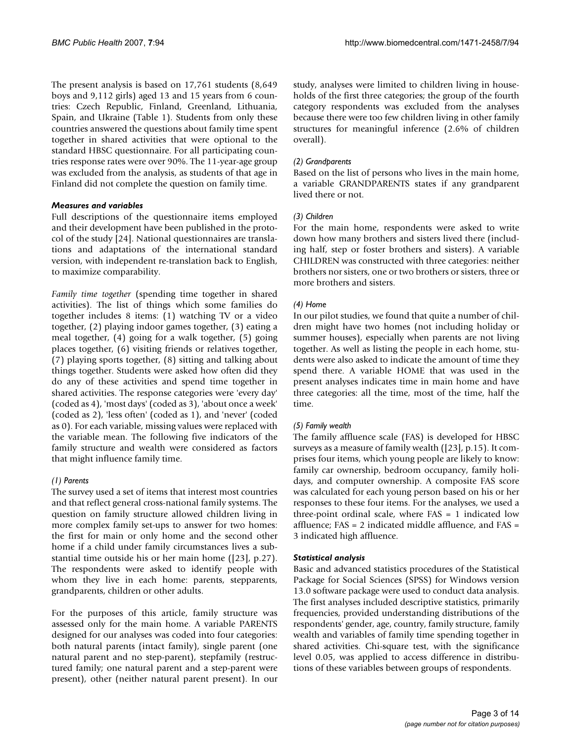The present analysis is based on 17,761 students (8,649 boys and 9,112 girls) aged 13 and 15 years from 6 countries: Czech Republic, Finland, Greenland, Lithuania, Spain, and Ukraine (Table 1). Students from only these countries answered the questions about family time spent together in shared activities that were optional to the standard HBSC questionnaire. For all participating countries response rates were over 90%. The 11-year-age group was excluded from the analysis, as students of that age in Finland did not complete the question on family time.

#### *Measures and variables*

Full descriptions of the questionnaire items employed and their development have been published in the protocol of the study [24]. National questionnaires are translations and adaptations of the international standard version, with independent re-translation back to English, to maximize comparability.

*Family time together* (spending time together in shared activities). The list of things which some families do together includes 8 items: (1) watching TV or a video together, (2) playing indoor games together, (3) eating a meal together, (4) going for a walk together, (5) going places together, (6) visiting friends or relatives together, (7) playing sports together, (8) sitting and talking about things together. Students were asked how often did they do any of these activities and spend time together in shared activities. The response categories were 'every day' (coded as 4), 'most days' (coded as 3), 'about once a week' (coded as 2), 'less often' (coded as 1), and 'never' (coded as 0). For each variable, missing values were replaced with the variable mean. The following five indicators of the family structure and wealth were considered as factors that might influence family time.

# *(1) Parents*

The survey used a set of items that interest most countries and that reflect general cross-national family systems. The question on family structure allowed children living in more complex family set-ups to answer for two homes: the first for main or only home and the second other home if a child under family circumstances lives a substantial time outside his or her main home ([23], p.27). The respondents were asked to identify people with whom they live in each home: parents, stepparents, grandparents, children or other adults.

For the purposes of this article, family structure was assessed only for the main home. A variable PARENTS designed for our analyses was coded into four categories: both natural parents (intact family), single parent (one natural parent and no step-parent), stepfamily (restructured family; one natural parent and a step-parent were present), other (neither natural parent present). In our study, analyses were limited to children living in households of the first three categories; the group of the fourth category respondents was excluded from the analyses because there were too few children living in other family structures for meaningful inference (2.6% of children overall).

### *(2) Grandparents*

Based on the list of persons who lives in the main home, a variable GRANDPARENTS states if any grandparent lived there or not.

## *(3) Children*

For the main home, respondents were asked to write down how many brothers and sisters lived there (including half, step or foster brothers and sisters). A variable CHILDREN was constructed with three categories: neither brothers nor sisters, one or two brothers or sisters, three or more brothers and sisters.

### *(4) Home*

In our pilot studies, we found that quite a number of children might have two homes (not including holiday or summer houses), especially when parents are not living together. As well as listing the people in each home, students were also asked to indicate the amount of time they spend there. A variable HOME that was used in the present analyses indicates time in main home and have three categories: all the time, most of the time, half the time.

### *(5) Family wealth*

The family affluence scale (FAS) is developed for HBSC surveys as a measure of family wealth ([23], p.15). It comprises four items, which young people are likely to know: family car ownership, bedroom occupancy, family holidays, and computer ownership. A composite FAS score was calculated for each young person based on his or her responses to these four items. For the analyses, we used a three-point ordinal scale, where FAS = 1 indicated low affluence; FAS = 2 indicated middle affluence, and FAS = 3 indicated high affluence.

### *Statistical analysis*

Basic and advanced statistics procedures of the Statistical Package for Social Sciences (SPSS) for Windows version 13.0 software package were used to conduct data analysis. The first analyses included descriptive statistics, primarily frequencies, provided understanding distributions of the respondents' gender, age, country, family structure, family wealth and variables of family time spending together in shared activities. Chi-square test, with the significance level 0.05, was applied to access difference in distributions of these variables between groups of respondents.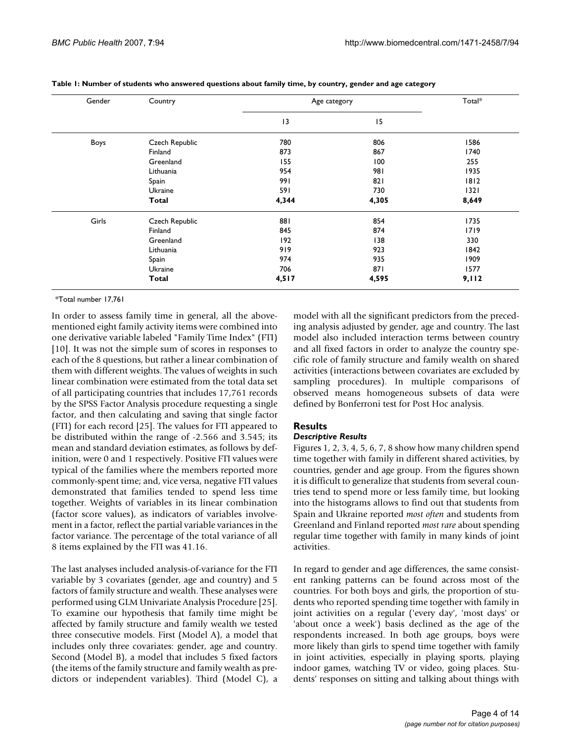| Gender | Country        | Age category | Total* |       |
|--------|----------------|--------------|--------|-------|
|        |                | 13           | 15     |       |
| Boys   | Czech Republic | 780          | 806    | 1586  |
|        | Finland        | 873          | 867    | 1740  |
|        | Greenland      | 155          | 100    | 255   |
|        | Lithuania      | 954          | 981    | 1935  |
|        | Spain          | 991          | 821    | 1812  |
|        | Ukraine        | 591          | 730    | 1321  |
|        | Total          | 4,344        | 4,305  | 8,649 |
| Girls  | Czech Republic | 881          | 854    | 1735  |
|        | Finland        | 845          | 874    | 1719  |
|        | Greenland      | 192          | 138    | 330   |
|        | Lithuania      | 919          | 923    | 1842  |
|        | Spain          | 974          | 935    | 1909  |
|        | Ukraine        | 706          | 871    | 1577  |
|        | <b>Total</b>   | 4,517        | 4,595  | 9,112 |

| Table 1: Number of students who answered questions about family time, by country, gender and age category |  |  |  |
|-----------------------------------------------------------------------------------------------------------|--|--|--|
|                                                                                                           |  |  |  |

\*Total number 17,761

In order to assess family time in general, all the abovementioned eight family activity items were combined into one derivative variable labeled "Family Time Index" (FTI) [10]. It was not the simple sum of scores in responses to each of the 8 questions, but rather a linear combination of them with different weights. The values of weights in such linear combination were estimated from the total data set of all participating countries that includes 17,761 records by the SPSS Factor Analysis procedure requesting a single factor, and then calculating and saving that single factor (FTI) for each record [25]. The values for FTI appeared to be distributed within the range of -2.566 and 3.545; its mean and standard deviation estimates, as follows by definition, were 0 and 1 respectively. Positive FTI values were typical of the families where the members reported more commonly-spent time; and, vice versa, negative FTI values demonstrated that families tended to spend less time together. Weights of variables in its linear combination (factor score values), as indicators of variables involvement in a factor, reflect the partial variable variances in the factor variance. The percentage of the total variance of all 8 items explained by the FTI was 41.16.

The last analyses included analysis-of-variance for the FTI variable by 3 covariates (gender, age and country) and 5 factors of family structure and wealth. These analyses were performed using GLM Univariate Analysis Procedure [25]. To examine our hypothesis that family time might be affected by family structure and family wealth we tested three consecutive models. First (Model A), a model that includes only three covariates: gender, age and country. Second (Model B), a model that includes 5 fixed factors (the items of the family structure and family wealth as predictors or independent variables). Third (Model C), a

model with all the significant predictors from the preceding analysis adjusted by gender, age and country. The last model also included interaction terms between country and all fixed factors in order to analyze the country specific role of family structure and family wealth on shared activities (interactions between covariates are excluded by sampling procedures). In multiple comparisons of observed means homogeneous subsets of data were defined by Bonferroni test for Post Hoc analysis.

### **Results**

### *Descriptive Results*

Figures 1, 2, 3, 4, 5, 6, 7, 8 show how many children spend time together with family in different shared activities, by countries, gender and age group. From the figures shown it is difficult to generalize that students from several countries tend to spend more or less family time, but looking into the histograms allows to find out that students from Spain and Ukraine reported *most often* and students from Greenland and Finland reported *most rare* about spending regular time together with family in many kinds of joint activities.

In regard to gender and age differences, the same consistent ranking patterns can be found across most of the countries. For both boys and girls, the proportion of students who reported spending time together with family in joint activities on a regular ('every day', 'most days' or 'about once a week') basis declined as the age of the respondents increased. In both age groups, boys were more likely than girls to spend time together with family in joint activities, especially in playing sports, playing indoor games, watching TV or video, going places. Students' responses on sitting and talking about things with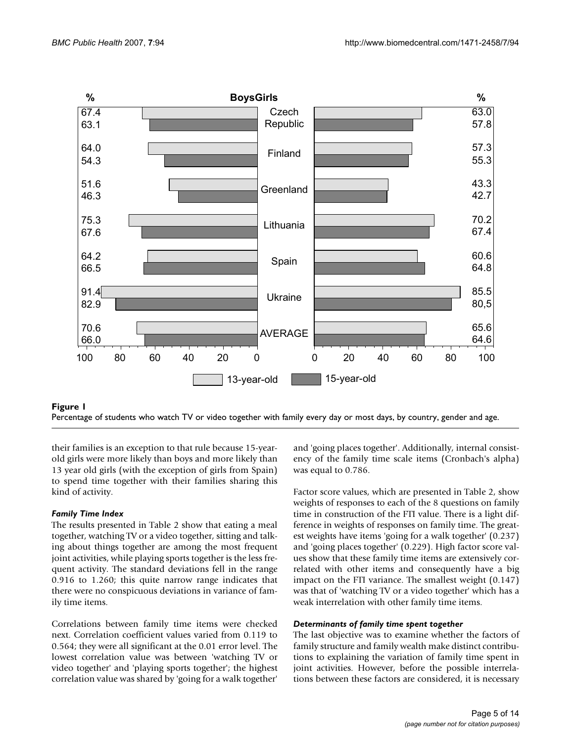



their families is an exception to that rule because 15-yearold girls were more likely than boys and more likely than 13 year old girls (with the exception of girls from Spain) to spend time together with their families sharing this kind of activity.

# *Family Time Index*

The results presented in Table 2 show that eating a meal together, watching TV or a video together, sitting and talking about things together are among the most frequent joint activities, while playing sports together is the less frequent activity. The standard deviations fell in the range 0.916 to 1.260; this quite narrow range indicates that there were no conspicuous deviations in variance of family time items.

Correlations between family time items were checked next. Correlation coefficient values varied from 0.119 to 0.564; they were all significant at the 0.01 error level. The lowest correlation value was between 'watching TV or video together' and 'playing sports together'; the highest correlation value was shared by 'going for a walk together'

and 'going places together'. Additionally, internal consistency of the family time scale items (Cronbach's alpha) was equal to 0.786.

Factor score values, which are presented in Table 2, show weights of responses to each of the 8 questions on family time in construction of the FTI value. There is a light difference in weights of responses on family time. The greatest weights have items 'going for a walk together' (0.237) and 'going places together' (0.229). High factor score values show that these family time items are extensively correlated with other items and consequently have a big impact on the FTI variance. The smallest weight (0.147) was that of 'watching TV or a video together' which has a weak interrelation with other family time items.

### *Determinants of family time spent together*

The last objective was to examine whether the factors of family structure and family wealth make distinct contributions to explaining the variation of family time spent in joint activities. However, before the possible interrelations between these factors are considered, it is necessary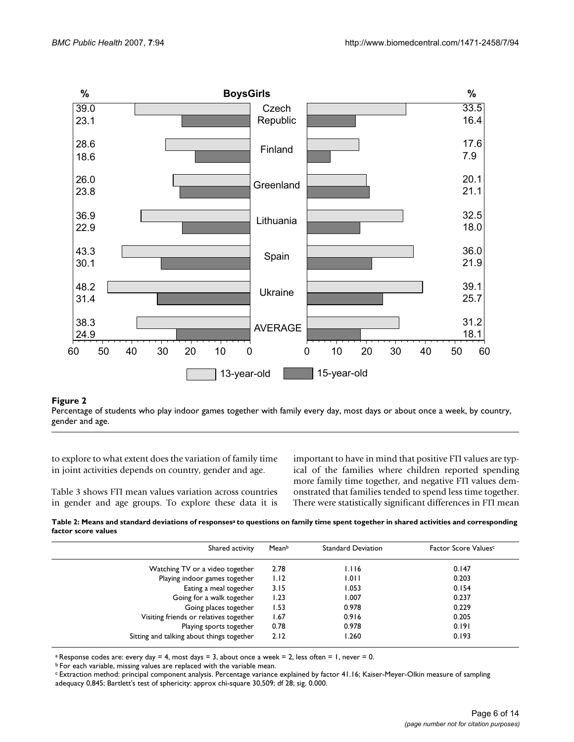

## Percentage of students who play indoor ga gender and age **Figure 2** mes together with family every day, most days or about once a week, by country,

Percentage of students who play indoor games together with family every day, most days or about once a week, by country, gender and age.

to explore to what extent does the variation of family time in joint activities depends on country, gender and age.

Table 3 shows FTI mean values variation across countries in gender and age groups. To explore these data it is important to have in mind that positive FTI values are typical of the families where children reported spending more family time together, and negative FTI values demonstrated that families tended to spend less time together. There were statistically significant differences in FTI mean

Table 2: Means and standard deviations of responses<sup>a</sup> to questions on family time spent together in shared activities and corresponding **factor score values**

| Shared activity                           | Meanb | <b>Standard Deviation</b> | Factor Score Values <sup>c</sup> |
|-------------------------------------------|-------|---------------------------|----------------------------------|
| Watching TV or a video together           | 2.78  | 1.116                     | 0.147                            |
| Playing indoor games together             | 1.12  | 1.011                     | 0.203                            |
| Eating a meal together                    | 3.15  | 1.053                     | 0.154                            |
| Going for a walk together                 | 1.23  | 1.007                     | 0.237                            |
| Going places together                     | 1.53  | 0.978                     | 0.229                            |
| Visiting friends or relatives together    | 1.67  | 0.916                     | 0.205                            |
| Playing sports together                   | 0.78  | 0.978                     | 0.191                            |
| Sitting and talking about things together | 2.12  | 1.260                     | 0.193                            |

<sup>a</sup> Response codes are: every day = 4, most days = 3, about once a week = 2, less often = 1, never = 0.

b For each variable, missing values are replaced with the variable mean.

c Extraction method: principal component analysis. Percentage variance explained by factor 41.16; Kaiser-Meyer-Olkin measure of sampling adequacy 0,845; Bartlett's test of sphericity: approx chi-square 30,509; df 28; sig. 0.000.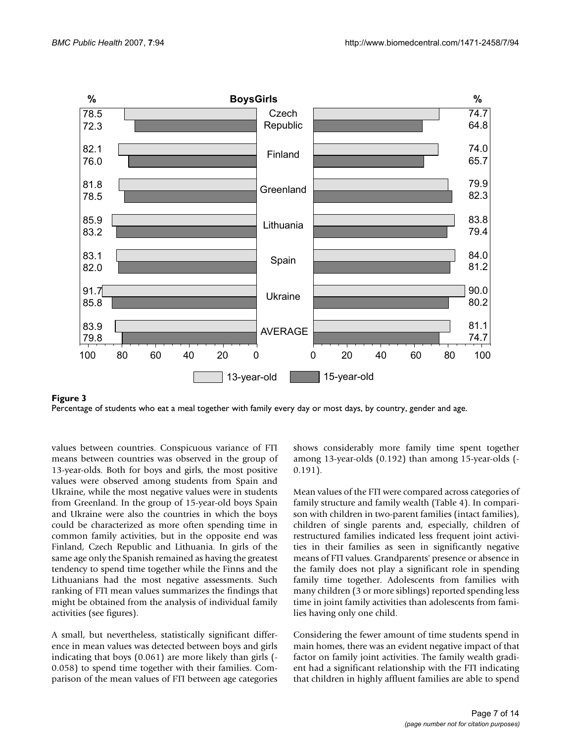

Percentage of students who eat a meal together with family every day or most days, by country, gender and age.

values between countries. Conspicuous variance of FTI means between countries was observed in the group of 13-year-olds. Both for boys and girls, the most positive values were observed among students from Spain and Ukraine, while the most negative values were in students from Greenland. In the group of 15-year-old boys Spain and Ukraine were also the countries in which the boys could be characterized as more often spending time in common family activities, but in the opposite end was Finland, Czech Republic and Lithuania. In girls of the same age only the Spanish remained as having the greatest tendency to spend time together while the Finns and the Lithuanians had the most negative assessments. Such ranking of FTI mean values summarizes the findings that might be obtained from the analysis of individual family activities (see figures).

A small, but nevertheless, statistically significant difference in mean values was detected between boys and girls indicating that boys (0.061) are more likely than girls (- 0.058) to spend time together with their families. Comparison of the mean values of FTI between age categories shows considerably more family time spent together among 13-year-olds (0.192) than among 15-year-olds (- 0.191).

Mean values of the FTI were compared across categories of family structure and family wealth (Table 4). In comparison with children in two-parent families (intact families), children of single parents and, especially, children of restructured families indicated less frequent joint activities in their families as seen in significantly negative means of FTI values. Grandparents' presence or absence in the family does not play a significant role in spending family time together. Adolescents from families with many children (3 or more siblings) reported spending less time in joint family activities than adolescents from families having only one child.

Considering the fewer amount of time students spend in main homes, there was an evident negative impact of that factor on family joint activities. The family wealth gradient had a significant relationship with the FTI indicating that children in highly affluent families are able to spend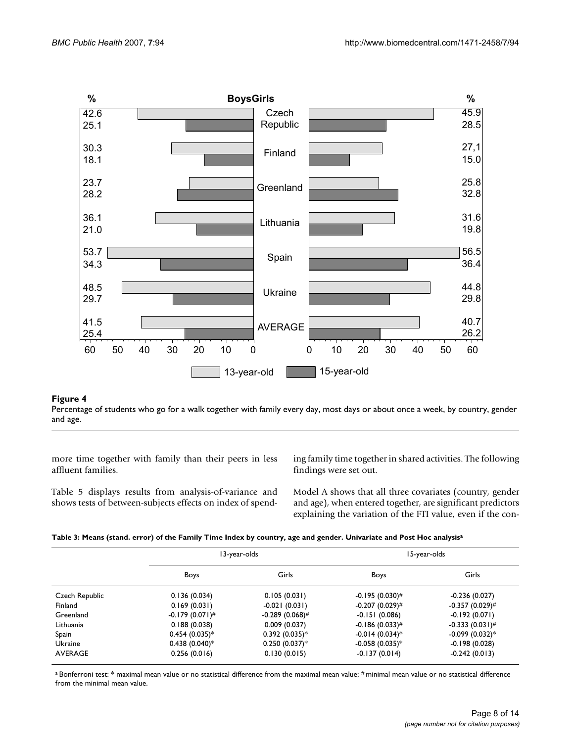

#### Percentage of students who go for a walk together with family and age **Figure 4** every day, most days or about once a week, by country, gender

Percentage of students who go for a walk together with family every day, most days or about once a week, by country, gender and age.

more time together with family than their peers in less affluent families.

Table 5 displays results from analysis-of-variance and shows tests of between-subjects effects on index of spending family time together in shared activities. The following findings were set out.

Model A shows that all three covariates (country, gender and age), when entered together, are significant predictors explaining the variation of the FTI value, even if the con-

| Table 3: Means (stand. error) of the Family Time Index by country, age and gender. Univariate and Post Hoc analysisª |  |  |  |
|----------------------------------------------------------------------------------------------------------------------|--|--|--|
|                                                                                                                      |  |  |  |

|                |                      | 13-year-olds      | 15-year-olds                 |                              |  |
|----------------|----------------------|-------------------|------------------------------|------------------------------|--|
|                | Boys                 | Girls             | Boys                         | Girls                        |  |
| Czech Republic | 0.136(0.034)         | 0.105(0.031)      | $-0.195(0.030)^{\#}$         | $-0.236(0.027)$              |  |
| Finland        | 0.169(0.031)         | $-0.021(0.031)$   | $-0.207(0.029)^{\#}$         | $-0.357(0.029)^{\#}$         |  |
| Greenland      | $-0.179(0.071)^{\#}$ | $-0.289(0.068)$ # | $-0.151(0.086)$              | $-0.192(0.071)$              |  |
| Lithuania      | 0.188(0.038)         | 0.009(0.037)      | $-0.186(0.033)^{\#}$         | $-0.333(0.031)^{\#}$         |  |
| Spain          | $0.454(0.035)*$      | $0.392(0.035)*$   | $-0.014(0.034)$ <sup>*</sup> | $-0.099(0.032)$ <sup>*</sup> |  |
| Ukraine        | $0.438(0.040)*$      | $0.250(0.037)^*$  | $-0.058(0.035)*$             | $-0.198(0.028)$              |  |
| AVERAGE        | 0.256(0.016)         | 0.130(0.015)      | $-0.137(0.014)$              | $-0.242(0.013)$              |  |

a Bonferroni test: \* maximal mean value or no statistical difference from the maximal mean value; # minimal mean value or no statistical difference from the minimal mean value.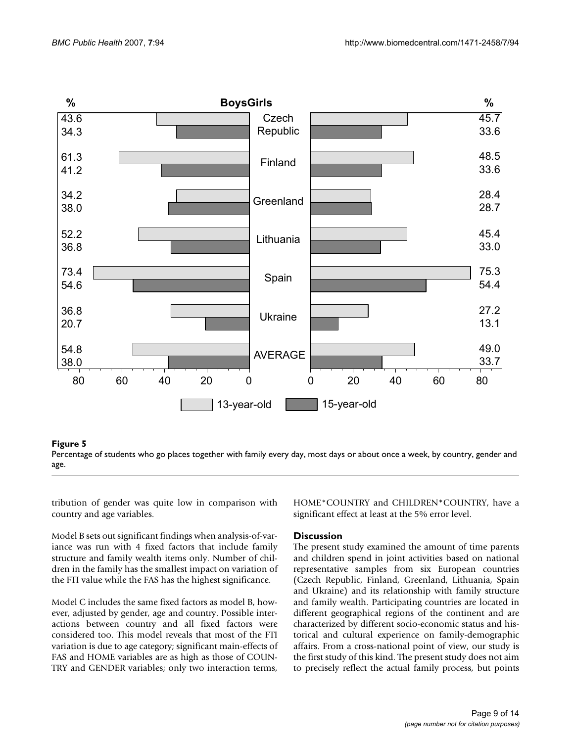

#### Percentage of students who go pl age **Figure 5** aces together with family every day, most days or about once a week, by country, gender and

Percentage of students who go places together with family every day, most days or about once a week, by country, gender and age.

tribution of gender was quite low in comparison with country and age variables.

Model B sets out significant findings when analysis-of-variance was run with 4 fixed factors that include family structure and family wealth items only. Number of children in the family has the smallest impact on variation of the FTI value while the FAS has the highest significance.

Model C includes the same fixed factors as model B, however, adjusted by gender, age and country. Possible interactions between country and all fixed factors were considered too. This model reveals that most of the FTI variation is due to age category; significant main-effects of FAS and HOME variables are as high as those of COUN-TRY and GENDER variables; only two interaction terms, HOME\*COUNTRY and CHILDREN\*COUNTRY, have a significant effect at least at the 5% error level.

### **Discussion**

The present study examined the amount of time parents and children spend in joint activities based on national representative samples from six European countries (Czech Republic, Finland, Greenland, Lithuania, Spain and Ukraine) and its relationship with family structure and family wealth. Participating countries are located in different geographical regions of the continent and are characterized by different socio-economic status and historical and cultural experience on family-demographic affairs. From a cross-national point of view, our study is the first study of this kind. The present study does not aim to precisely reflect the actual family process, but points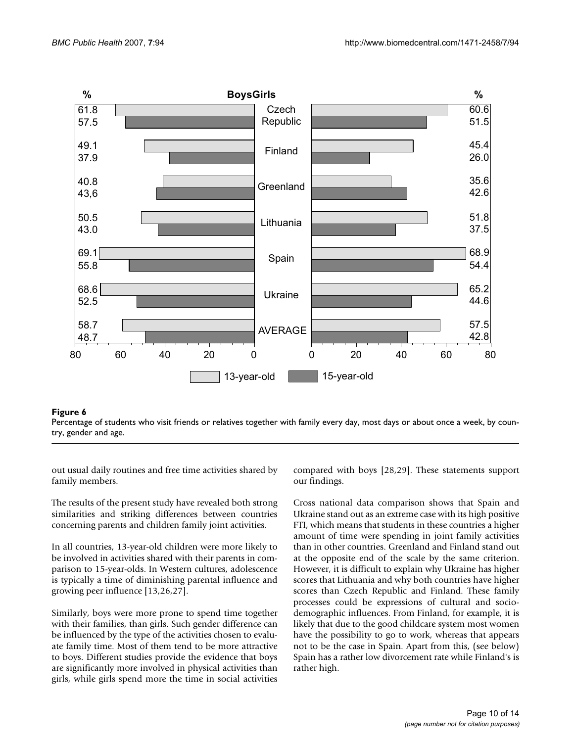

#### Percentage of students who visit try, gender and age **Figure 6** friends or relatives together with family every day, most days or about once a week, by coun-

Percentage of students who visit friends or relatives together with family every day, most days or about once a week, by country, gender and age.

out usual daily routines and free time activities shared by family members.

The results of the present study have revealed both strong similarities and striking differences between countries concerning parents and children family joint activities.

In all countries, 13-year-old children were more likely to be involved in activities shared with their parents in comparison to 15-year-olds. In Western cultures, adolescence is typically a time of diminishing parental influence and growing peer influence [13,26,27].

Similarly, boys were more prone to spend time together with their families, than girls. Such gender difference can be influenced by the type of the activities chosen to evaluate family time. Most of them tend to be more attractive to boys. Different studies provide the evidence that boys are significantly more involved in physical activities than girls, while girls spend more the time in social activities

compared with boys [28,29]. These statements support our findings.

Cross national data comparison shows that Spain and Ukraine stand out as an extreme case with its high positive FTI, which means that students in these countries a higher amount of time were spending in joint family activities than in other countries. Greenland and Finland stand out at the opposite end of the scale by the same criterion. However, it is difficult to explain why Ukraine has higher scores that Lithuania and why both countries have higher scores than Czech Republic and Finland. These family processes could be expressions of cultural and sociodemographic influences. From Finland, for example, it is likely that due to the good childcare system most women have the possibility to go to work, whereas that appears not to be the case in Spain. Apart from this, (see below) Spain has a rather low divorcement rate while Finland's is rather high.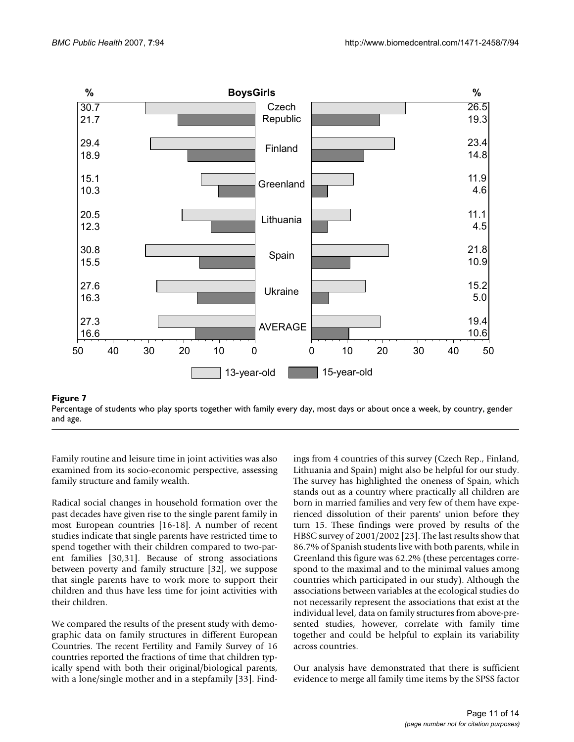

Percentage of students who play sports to and age **Figure 7** gether with family every day, most days or about once a week, by country, gender

Percentage of students who play sports together with family every day, most days or about once a week, by country, gender and age.

Family routine and leisure time in joint activities was also examined from its socio-economic perspective, assessing family structure and family wealth.

Radical social changes in household formation over the past decades have given rise to the single parent family in most European countries [16-18]. A number of recent studies indicate that single parents have restricted time to spend together with their children compared to two-parent families [30,31]. Because of strong associations between poverty and family structure [32], we suppose that single parents have to work more to support their children and thus have less time for joint activities with their children.

We compared the results of the present study with demographic data on family structures in different European Countries. The recent Fertility and Family Survey of 16 countries reported the fractions of time that children typically spend with both their original/biological parents, with a lone/single mother and in a stepfamily [33]. Findings from 4 countries of this survey (Czech Rep., Finland, Lithuania and Spain) might also be helpful for our study. The survey has highlighted the oneness of Spain, which stands out as a country where practically all children are born in married families and very few of them have experienced dissolution of their parents' union before they turn 15. These findings were proved by results of the HBSC survey of 2001/2002 [23]. The last results show that 86.7% of Spanish students live with both parents, while in Greenland this figure was 62.2% (these percentages correspond to the maximal and to the minimal values among countries which participated in our study). Although the associations between variables at the ecological studies do not necessarily represent the associations that exist at the individual level, data on family structures from above-presented studies, however, correlate with family time together and could be helpful to explain its variability across countries.

Our analysis have demonstrated that there is sufficient evidence to merge all family time items by the SPSS factor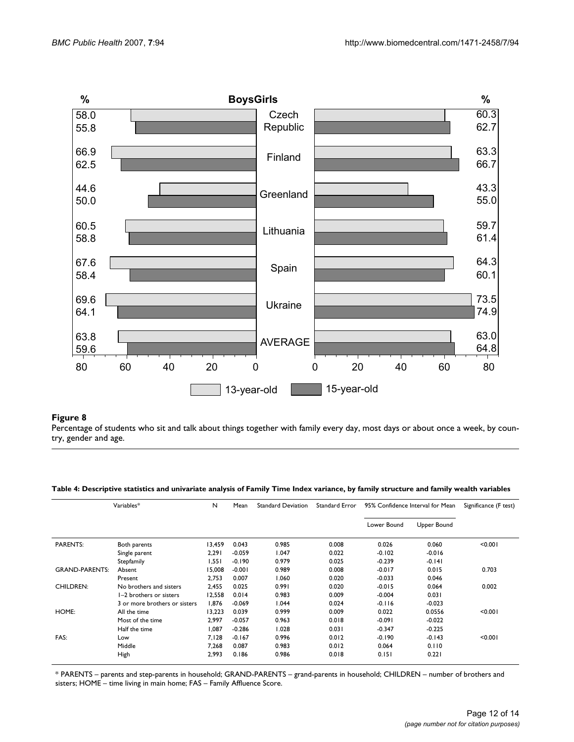

### Percentage of students who sit and talk about things together wi try, gender and age **Figure 8** th family every day, most days or about once a week, by coun-

Percentage of students who sit and talk about things together with family every day, most days or about once a week, by country, gender and age.

#### **Table 4: Descriptive statistics and univariate analysis of Family Time Index variance, by family structure and family wealth variables**

| Variables*            |                               | N      | Mean     | <b>Standard Deviation</b> | Standard Error | 95% Confidence Interval for Mean |             | Significance (F test) |
|-----------------------|-------------------------------|--------|----------|---------------------------|----------------|----------------------------------|-------------|-----------------------|
|                       |                               |        |          |                           |                | Lower Bound                      | Upper Bound |                       |
| <b>PARENTS:</b>       | Both parents                  | 13,459 | 0.043    | 0.985                     | 0.008          | 0.026                            | 0.060       | < 0.001               |
|                       | Single parent                 | 2,291  | $-0.059$ | 1.047                     | 0.022          | $-0.102$                         | $-0.016$    |                       |
|                       | Stepfamily                    | 1,551  | $-0.190$ | 0.979                     | 0.025          | $-0.239$                         | $-0.141$    |                       |
| <b>GRAND-PARENTS:</b> | Absent                        | 15.008 | $-0.001$ | 0.989                     | 0.008          | $-0.017$                         | 0.015       | 0.703                 |
|                       | Present                       | 2,753  | 0.007    | 1.060                     | 0.020          | $-0.033$                         | 0.046       |                       |
| <b>CHILDREN:</b>      | No brothers and sisters       | 2.455  | 0.025    | 0.991                     | 0.020          | $-0.015$                         | 0.064       | 0.002                 |
|                       | I-2 brothers or sisters       | 12,558 | 0.014    | 0.983                     | 0.009          | $-0.004$                         | 0.031       |                       |
|                       | 3 or more brothers or sisters | 1.876  | $-0.069$ | 1.044                     | 0.024          | $-0.116$                         | $-0.023$    |                       |
| HOME:                 | All the time                  | 13,223 | 0.039    | 0.999                     | 0.009          | 0.022                            | 0.0556      | < 0.001               |
|                       | Most of the time              | 2.997  | $-0.057$ | 0.963                     | 0.018          | $-0.091$                         | $-0.022$    |                       |
|                       | Half the time                 | 1.087  | $-0.286$ | 1.028                     | 0.031          | $-0.347$                         | $-0.225$    |                       |
| FAS:                  | Low                           | 7.128  | $-0.167$ | 0.996                     | 0.012          | $-0.190$                         | $-0.143$    | < 0.001               |
|                       | Middle                        | 7,268  | 0.087    | 0.983                     | 0.012          | 0.064                            | 0.110       |                       |
|                       | High                          | 2.993  | 0.186    | 0.986                     | 0.018          | 0.151                            | 0.221       |                       |

\* PARENTS – parents and step-parents in household; GRAND-PARENTS – grand-parents in household; CHILDREN – number of brothers and sisters; HOME – time living in main home; FAS – Family Affluence Score.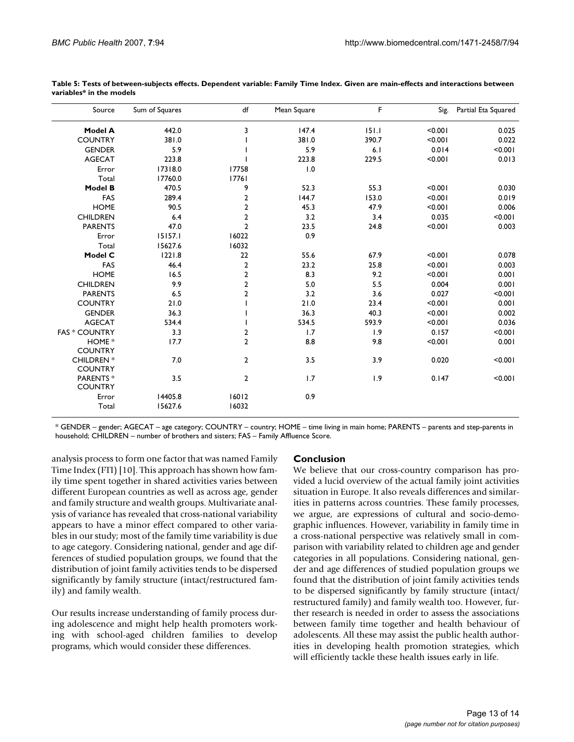| Source                              | Sum of Squares | df             | Mean Square | F     | Sig.    | Partial Eta Squared |
|-------------------------------------|----------------|----------------|-------------|-------|---------|---------------------|
| Model A                             | 442.0          | 3              | 147.4       | 151.1 | < 0.001 | 0.025               |
| <b>COUNTRY</b>                      | 381.0          |                | 381.0       | 390.7 | < 0.001 | 0.022               |
| <b>GENDER</b>                       | 5.9            |                | 5.9         | 6.1   | 0.014   | < 0.001             |
| <b>AGECAT</b>                       | 223.8          |                | 223.8       | 229.5 | < 0.001 | 0.013               |
| Error                               | 17318.0        | 17758          | 1.0         |       |         |                     |
| Total                               | 17760.0        | 17761          |             |       |         |                     |
| <b>Model B</b>                      | 470.5          | 9              | 52.3        | 55.3  | < 0.001 | 0.030               |
| FAS                                 | 289.4          | $\overline{2}$ | 144.7       | 153.0 | < 0.001 | 0.019               |
| <b>HOME</b>                         | 90.5           | $\overline{2}$ | 45.3        | 47.9  | < 0.001 | 0.006               |
| <b>CHILDREN</b>                     | 6.4            | $\overline{2}$ | 3.2         | 3.4   | 0.035   | < 0.001             |
| <b>PARENTS</b>                      | 47.0           | $\overline{2}$ | 23.5        | 24.8  | < 0.001 | 0.003               |
| Error                               | 15157.1        | 16022          | 0.9         |       |         |                     |
| Total                               | 15627.6        | 16032          |             |       |         |                     |
| Model C                             | 1221.8         | 22             | 55.6        | 67.9  | < 0.001 | 0.078               |
| FAS                                 | 46.4           | $\overline{2}$ | 23.2        | 25.8  | < 0.001 | 0.003               |
| <b>HOME</b>                         | 16.5           | $\overline{2}$ | 8.3         | 9.2   | < 0.001 | 0.001               |
| <b>CHILDREN</b>                     | 9.9            | $\overline{2}$ | 5.0         | 5.5   | 0.004   | 0.001               |
| <b>PARENTS</b>                      | 6.5            | $\overline{2}$ | 3.2         | 3.6   | 0.027   | < 0.001             |
| <b>COUNTRY</b>                      | 21.0           |                | 21.0        | 23.4  | < 0.001 | 0.001               |
| <b>GENDER</b>                       | 36.3           |                | 36.3        | 40.3  | < 0.001 | 0.002               |
| <b>AGECAT</b>                       | 534.4          |                | 534.5       | 593.9 | < 0.001 | 0.036               |
| <b>FAS * COUNTRY</b>                | 3.3            | $\overline{2}$ | 1.7         | 1.9   | 0.157   | < 0.001             |
| HOME *<br><b>COUNTRY</b>            | 17.7           | $\overline{2}$ | 8.8         | 9.8   | < 0.001 | 0.001               |
| <b>CHILDREN</b> *<br><b>COUNTRY</b> | 7.0            | $\overline{2}$ | 3.5         | 3.9   | 0.020   | < 0.001             |
| PARENTS*<br><b>COUNTRY</b>          | 3.5            | $\overline{2}$ | 1.7         | 1.9   | 0.147   | < 0.001             |
| Error                               | 14405.8        | 16012          | 0.9         |       |         |                     |
| Total                               | 15627.6        | 16032          |             |       |         |                     |

**Table 5: Tests of between-subjects effects. Dependent variable: Family Time Index. Given are main-effects and interactions between variables\* in the models**

\* GENDER – gender; AGECAT – age category; COUNTRY – country; HOME – time living in main home; PARENTS – parents and step-parents in household; CHILDREN – number of brothers and sisters; FAS – Family Affluence Score.

analysis process to form one factor that was named Family Time Index (FTI) [10]. This approach has shown how family time spent together in shared activities varies between different European countries as well as across age, gender and family structure and wealth groups. Multivariate analysis of variance has revealed that cross-national variability appears to have a minor effect compared to other variables in our study; most of the family time variability is due to age category. Considering national, gender and age differences of studied population groups, we found that the distribution of joint family activities tends to be dispersed significantly by family structure (intact/restructured family) and family wealth.

Our results increase understanding of family process during adolescence and might help health promoters working with school-aged children families to develop programs, which would consider these differences.

### **Conclusion**

We believe that our cross-country comparison has provided a lucid overview of the actual family joint activities situation in Europe. It also reveals differences and similarities in patterns across countries. These family processes, we argue, are expressions of cultural and socio-demographic influences. However, variability in family time in a cross-national perspective was relatively small in comparison with variability related to children age and gender categories in all populations. Considering national, gender and age differences of studied population groups we found that the distribution of joint family activities tends to be dispersed significantly by family structure (intact/ restructured family) and family wealth too. However, further research is needed in order to assess the associations between family time together and health behaviour of adolescents. All these may assist the public health authorities in developing health promotion strategies, which will efficiently tackle these health issues early in life.